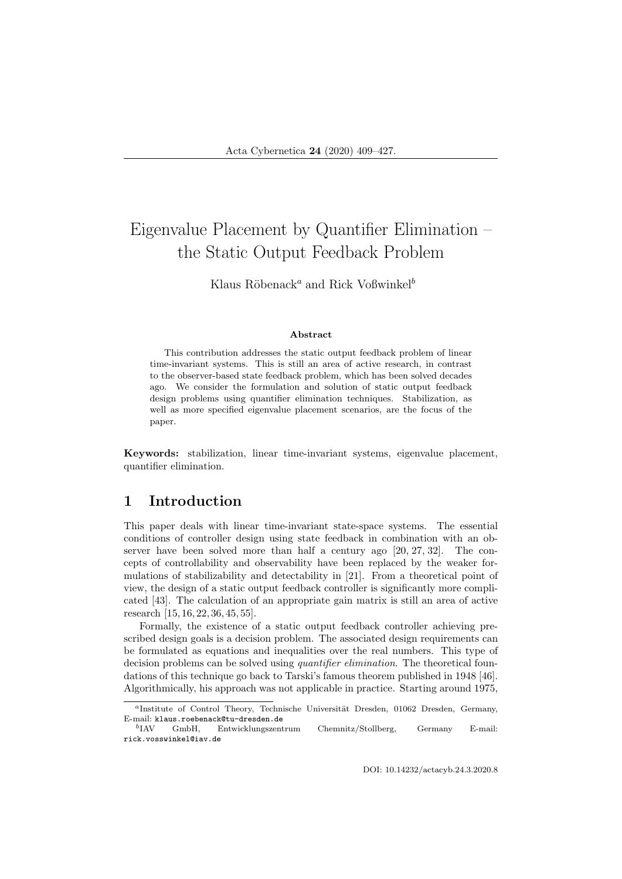# Eigenvalue Placement by Quantifier Elimination – the Static Output Feedback Problem

Klaus Röbenack<sup>a</sup> and Rick Voßwinkel<sup>b</sup>

#### Abstract

This contribution addresses the static output feedback problem of linear time-invariant systems. This is still an area of active research, in contrast to the observer-based state feedback problem, which has been solved decades ago. We consider the formulation and solution of static output feedback design problems using quantifier elimination techniques. Stabilization, as well as more specified eigenvalue placement scenarios, are the focus of the paper.

Keywords: stabilization, linear time-invariant systems, eigenvalue placement, quantifier elimination.

### 1 Introduction

This paper deals with linear time-invariant state-space systems. The essential conditions of controller design using state feedback in combination with an observer have been solved more than half a century ago [20, 27, 32]. The concepts of controllability and observability have been replaced by the weaker formulations of stabilizability and detectability in [21]. From a theoretical point of view, the design of a static output feedback controller is significantly more complicated [43]. The calculation of an appropriate gain matrix is still an area of active research [15, 16, 22, 36, 45, 55].

Formally, the existence of a static output feedback controller achieving prescribed design goals is a decision problem. The associated design requirements can be formulated as equations and inequalities over the real numbers. This type of decision problems can be solved using *quantifier elimination*. The theoretical foundations of this technique go back to Tarski's famous theorem published in 1948 [46]. Algorithmically, his approach was not applicable in practice. Starting around 1975,

<sup>&</sup>lt;sup>a</sup>Institute of Control Theory, Technische Universität Dresden, 01062 Dresden, Germany, E-mail: klaus.roebenack@tu-dresden.de

 $b$ I AV GmbH, Entwicklungszentrum Chemnitz/Stollberg, Germany E-mail: rick.vosswinkel@iav.de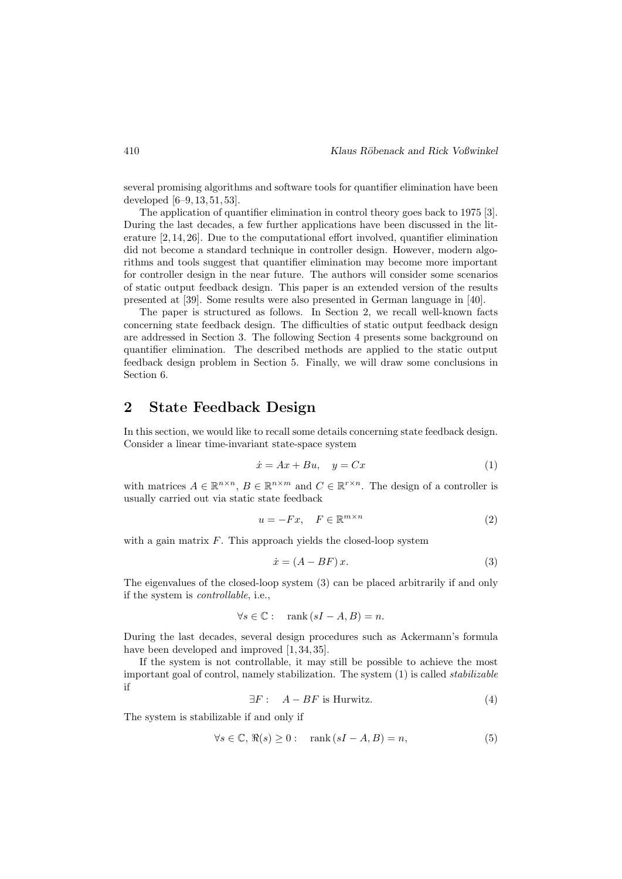several promising algorithms and software tools for quantifier elimination have been developed [6–9, 13, 51, 53].

The application of quantifier elimination in control theory goes back to 1975 [3]. During the last decades, a few further applications have been discussed in the literature [2, 14, 26]. Due to the computational effort involved, quantifier elimination did not become a standard technique in controller design. However, modern algorithms and tools suggest that quantifier elimination may become more important for controller design in the near future. The authors will consider some scenarios of static output feedback design. This paper is an extended version of the results presented at [39]. Some results were also presented in German language in [40].

The paper is structured as follows. In Section 2, we recall well-known facts concerning state feedback design. The difficulties of static output feedback design are addressed in Section 3. The following Section 4 presents some background on quantifier elimination. The described methods are applied to the static output feedback design problem in Section 5. Finally, we will draw some conclusions in Section 6.

### 2 State Feedback Design

In this section, we would like to recall some details concerning state feedback design. Consider a linear time-invariant state-space system

$$
\dot{x} = Ax + Bu, \quad y = Cx \tag{1}
$$

with matrices  $A \in \mathbb{R}^{n \times n}$ ,  $B \in \mathbb{R}^{n \times m}$  and  $C \in \mathbb{R}^{r \times n}$ . The design of a controller is usually carried out via static state feedback

$$
u = -Fx, \quad F \in \mathbb{R}^{m \times n} \tag{2}
$$

with a gain matrix  $F$ . This approach yields the closed-loop system

$$
\dot{x} = (A - BF)x.\tag{3}
$$

The eigenvalues of the closed-loop system (3) can be placed arbitrarily if and only if the system is controllable, i.e.,

$$
\forall s \in \mathbb{C} : \quad \text{rank}(sI - A, B) = n.
$$

During the last decades, several design procedures such as Ackermann's formula have been developed and improved  $[1, 34, 35]$ .

If the system is not controllable, it may still be possible to achieve the most important goal of control, namely stabilization. The system  $(1)$  is called *stabilizable* if

$$
\exists F: \quad A - BF \text{ is Hurwitz.} \tag{4}
$$

The system is stabilizable if and only if

$$
\forall s \in \mathbb{C}, \, \Re(s) \ge 0 : \quad \text{rank}\,(sI - A, B) = n,\tag{5}
$$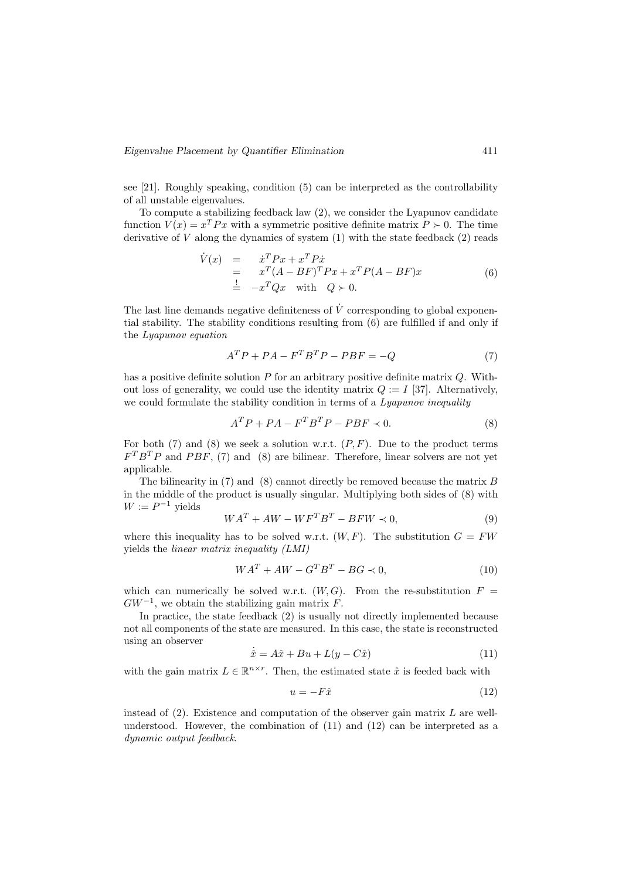see [21]. Roughly speaking, condition (5) can be interpreted as the controllability of all unstable eigenvalues.

To compute a stabilizing feedback law (2), we consider the Lyapunov candidate function  $V(x) = x^T P x$  with a symmetric positive definite matrix  $P \succ 0$ . The time derivative of  $V$  along the dynamics of system  $(1)$  with the state feedback  $(2)$  reads

$$
\dot{V}(x) = \dot{x}^T P x + x^T P \dot{x}
$$
\n
$$
= x^T (A - BF)^T P x + x^T P (A - BF) x
$$
\n
$$
\frac{1}{2} - x^T Q x \quad \text{with} \quad Q \succ 0.
$$
\n(6)

The last line demands negative definiteness of  $\dot{V}$  corresponding to global exponential stability. The stability conditions resulting from (6) are fulfilled if and only if the Lyapunov equation

$$
ATP + PA - FTBTP - PBF = -Q
$$
\n(7)

has a positive definite solution P for an arbitrary positive definite matrix Q. Without loss of generality, we could use the identity matrix  $Q := I$  [37]. Alternatively, we could formulate the stability condition in terms of a *Lyapunov inequality* 

$$
A^T P + P A - F^T B^T P - P B F \prec 0. \tag{8}
$$

For both (7) and (8) we seek a solution w.r.t.  $(P, F)$ . Due to the product terms  $F^T B^T P$  and PBF, (7) and (8) are bilinear. Therefore, linear solvers are not yet applicable.

The bilinearity in  $(7)$  and  $(8)$  cannot directly be removed because the matrix  $B$ in the middle of the product is usually singular. Multiplying both sides of (8) with  $W := P^{-1}$  yields

$$
WAT + AW - WFTBT - BFW \prec 0,
$$
\n(9)

where this inequality has to be solved w.r.t.  $(W, F)$ . The substitution  $G = FW$ yields the linear matrix inequality (LMI)

$$
WAT + AW - GTBT - BG \prec 0,
$$
\n(10)

which can numerically be solved w.r.t.  $(W, G)$ . From the re-substitution  $F =$  $GW^{-1}$ , we obtain the stabilizing gain matrix F.

In practice, the state feedback (2) is usually not directly implemented because not all components of the state are measured. In this case, the state is reconstructed using an observer

$$
\dot{\hat{x}} = A\hat{x} + Bu + L(y - C\hat{x})\tag{11}
$$

with the gain matrix  $L \in \mathbb{R}^{n \times r}$ . Then, the estimated state  $\hat{x}$  is feeded back with

$$
u = -F\hat{x} \tag{12}
$$

instead of  $(2)$ . Existence and computation of the observer gain matrix  $L$  are wellunderstood. However, the combination of  $(11)$  and  $(12)$  can be interpreted as a dynamic output feedback.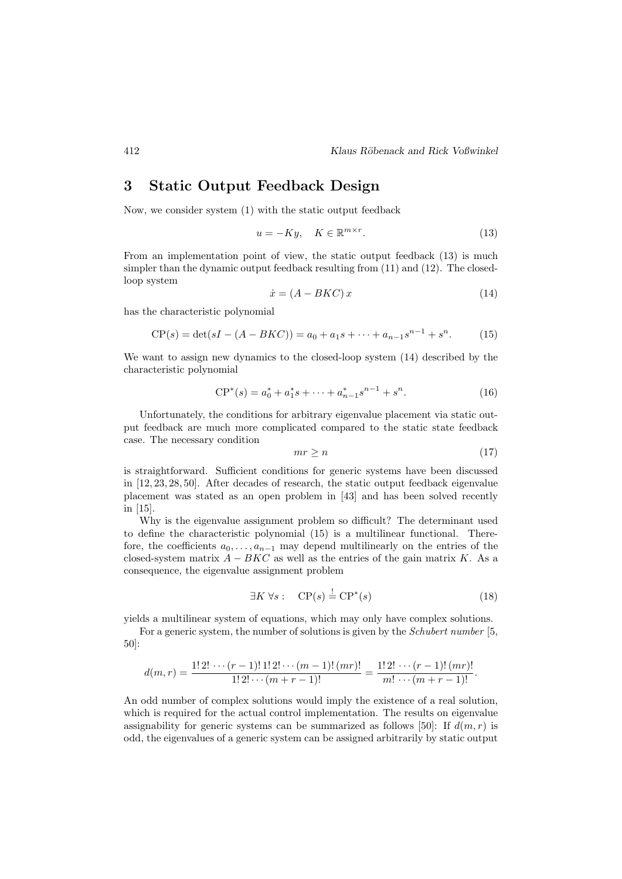### 3 Static Output Feedback Design

Now, we consider system (1) with the static output feedback

$$
u = -Ky, \quad K \in \mathbb{R}^{m \times r}.
$$
\n
$$
(13)
$$

From an implementation point of view, the static output feedback (13) is much simpler than the dynamic output feedback resulting from (11) and (12). The closedloop system

$$
\dot{x} = (A - BKC)x \tag{14}
$$

has the characteristic polynomial

$$
CP(s) = \det(sI - (A - BKC)) = a_0 + a_1s + \dots + a_{n-1}s^{n-1} + s^n.
$$
 (15)

We want to assign new dynamics to the closed-loop system (14) described by the characteristic polynomial

$$
CP^*(s) = a_0^* + a_1^*s + \dots + a_{n-1}^*s^{n-1} + s^n.
$$
 (16)

Unfortunately, the conditions for arbitrary eigenvalue placement via static output feedback are much more complicated compared to the static state feedback case. The necessary condition

$$
mr \ge n \tag{17}
$$

is straightforward. Sufficient conditions for generic systems have been discussed in [12, 23, 28, 50]. After decades of research, the static output feedback eigenvalue placement was stated as an open problem in [43] and has been solved recently in [15].

Why is the eigenvalue assignment problem so difficult? The determinant used to define the characteristic polynomial (15) is a multilinear functional. Therefore, the coefficients  $a_0, \ldots, a_{n-1}$  may depend multilinearly on the entries of the closed-system matrix  $A - BKC$  as well as the entries of the gain matrix K. As a consequence, the eigenvalue assignment problem

$$
\exists K \,\forall s: \quad \mathbf{CP}(s) \stackrel{!}{=} \mathbf{CP}^*(s) \tag{18}
$$

yields a multilinear system of equations, which may only have complex solutions.

For a generic system, the number of solutions is given by the *Schubert number* [5, 50]:

$$
d(m,r) = \frac{1! \, 2! \, \cdots \, (r-1)! \, 1! \, 2! \cdots (m-1)! \, (mr)!}{1! \, 2! \cdots (m+r-1)!} = \frac{1! \, 2! \, \cdots \, (r-1)! \, (mr)!}{m! \, \cdots \, (m+r-1)!}.
$$

An odd number of complex solutions would imply the existence of a real solution, which is required for the actual control implementation. The results on eigenvalue assignability for generic systems can be summarized as follows [50]: If  $d(m, r)$  is odd, the eigenvalues of a generic system can be assigned arbitrarily by static output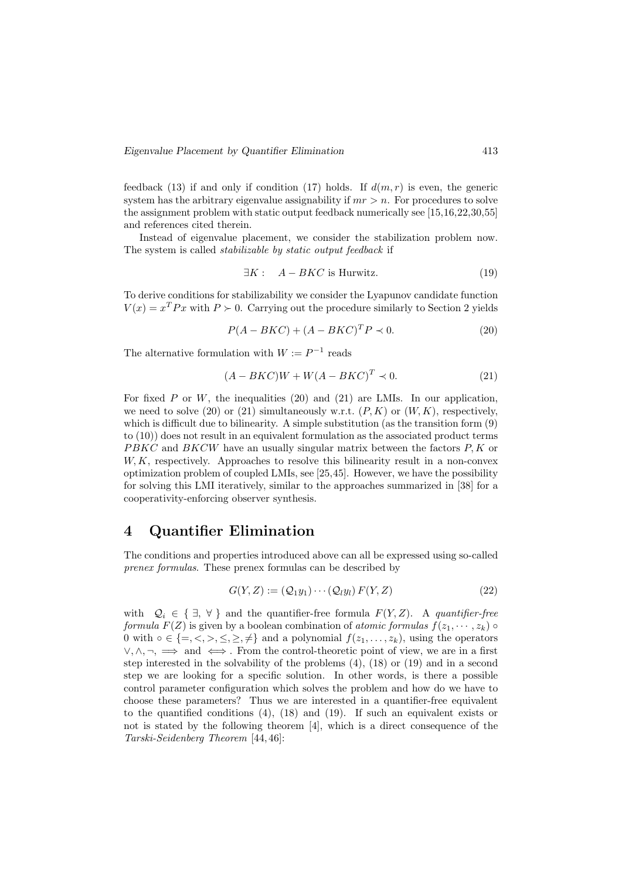feedback (13) if and only if condition (17) holds. If  $d(m, r)$  is even, the generic system has the arbitrary eigenvalue assignability if  $mr > n$ . For procedures to solve the assignment problem with static output feedback numerically see [15,16,22,30,55] and references cited therein.

Instead of eigenvalue placement, we consider the stabilization problem now. The system is called stabilizable by static output feedback if

$$
\exists K: \quad A - BKC \text{ is Hurwitz.} \tag{19}
$$

To derive conditions for stabilizability we consider the Lyapunov candidate function  $V(x) = x<sup>T</sup> P x$  with  $P \succ 0$ . Carrying out the procedure similarly to Section 2 yields

$$
P(A - BKC) + (A - BKC)^T P \prec 0.
$$
\n<sup>(20)</sup>

The alternative formulation with  $W := P^{-1}$  reads

$$
(A - BKC)W + W(A - BKC)^{T} \prec 0. \tag{21}
$$

For fixed P or W, the inequalities (20) and (21) are LMIs. In our application, we need to solve (20) or (21) simultaneously w.r.t.  $(P, K)$  or  $(W, K)$ , respectively, which is difficult due to bilinearity. A simple substitution (as the transition form  $(9)$ ) to (10)) does not result in an equivalent formulation as the associated product terms  $PBKC$  and  $BKCW$  have an usually singular matrix between the factors  $P, K$  or  $W, K$ , respectively. Approaches to resolve this bilinearity result in a non-convex optimization problem of coupled LMIs, see [25,45]. However, we have the possibility for solving this LMI iteratively, similar to the approaches summarized in [38] for a cooperativity-enforcing observer synthesis.

### 4 Quantifier Elimination

The conditions and properties introduced above can all be expressed using so-called prenex formulas. These prenex formulas can be described by

$$
G(Y, Z) := (Q_1 y_1) \cdots (Q_l y_l) F(Y, Z)
$$
\n
$$
(22)
$$

with  $Q_i \in \{ \exists, \forall \}$  and the quantifier-free formula  $F(Y, Z)$ . A quantifier-free formula  $F(Z)$  is given by a boolean combination of atomic formulas  $f(z_1, \dots, z_k)$ 0 with  $\circ \in \{ =, \leq, >, \leq, \geq, \neq \}$  and a polynomial  $f(z_1, \ldots, z_k)$ , using the operators  $\vee, \wedge, \neg, \implies$  and  $\iff$ . From the control-theoretic point of view, we are in a first step interested in the solvability of the problems (4), (18) or (19) and in a second step we are looking for a specific solution. In other words, is there a possible control parameter configuration which solves the problem and how do we have to choose these parameters? Thus we are interested in a quantifier-free equivalent to the quantified conditions (4), (18) and (19). If such an equivalent exists or not is stated by the following theorem [4], which is a direct consequence of the Tarski-Seidenberg Theorem [44, 46]: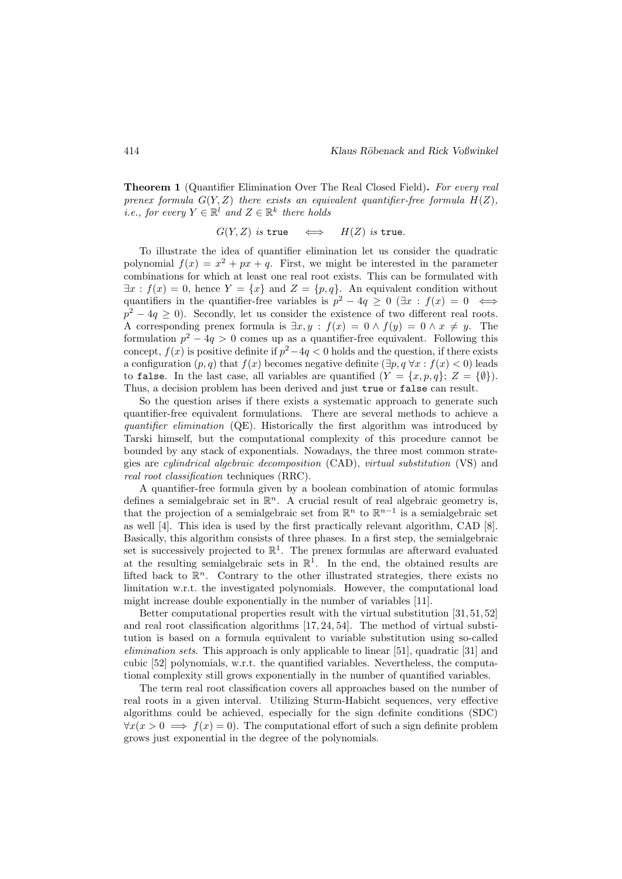Theorem 1 (Quantifier Elimination Over The Real Closed Field). For every real prenex formula  $G(Y, Z)$  there exists an equivalent quantifier-free formula  $H(Z)$ , *i.e., for every*  $Y \in \mathbb{R}^l$  and  $Z \in \mathbb{R}^k$  there holds

$$
G(Y, Z)
$$
 is true  $\iff$   $H(Z)$  is true.

To illustrate the idea of quantifier elimination let us consider the quadratic polynomial  $f(x) = x^2 + px + q$ . First, we might be interested in the parameter combinations for which at least one real root exists. This can be formulated with  $\exists x : f(x) = 0$ , hence  $Y = \{x\}$  and  $Z = \{p, q\}$ . An equivalent condition without quantifiers in the quantifier-free variables is  $p^2 - 4q \ge 0$  ( $\exists x : f(x) = 0 \iff$  $p^2 - 4q \ge 0$ ). Secondly, let us consider the existence of two different real roots. A corresponding prenex formula is  $\exists x, y : f(x) = 0 \land f(y) = 0 \land x \neq y$ . The formulation  $p^2 - 4q > 0$  comes up as a quantifier-free equivalent. Following this concept,  $f(x)$  is positive definite if  $p^2-4q<0$  holds and the question, if there exists a configuration  $(p, q)$  that  $f(x)$  becomes negative definite  $(\exists p, q \forall x : f(x) < 0)$  leads to false. In the last case, all variables are quantified  $(Y = \{x, p, q\}; Z = \{\emptyset\}).$ Thus, a decision problem has been derived and just true or false can result.

So the question arises if there exists a systematic approach to generate such quantifier-free equivalent formulations. There are several methods to achieve a quantifier elimination (QE). Historically the first algorithm was introduced by Tarski himself, but the computational complexity of this procedure cannot be bounded by any stack of exponentials. Nowadays, the three most common strategies are cylindrical algebraic decomposition (CAD), virtual substitution (VS) and real root classification techniques (RRC).

A quantifier-free formula given by a boolean combination of atomic formulas defines a semialgebraic set in  $\mathbb{R}^n$ . A crucial result of real algebraic geometry is, that the projection of a semialgebraic set from  $\mathbb{R}^n$  to  $\mathbb{R}^{n-1}$  is a semialgebraic set as well [4]. This idea is used by the first practically relevant algorithm, CAD [8]. Basically, this algorithm consists of three phases. In a first step, the semialgebraic set is successively projected to  $\mathbb{R}^1$ . The prenex formulas are afterward evaluated at the resulting semialgebraic sets in  $\mathbb{R}^1$ . In the end, the obtained results are lifted back to  $\mathbb{R}^n$ . Contrary to the other illustrated strategies, there exists no limitation w.r.t. the investigated polynomials. However, the computational load might increase double exponentially in the number of variables [11].

Better computational properties result with the virtual substitution [31, 51, 52] and real root classification algorithms [17, 24, 54]. The method of virtual substitution is based on a formula equivalent to variable substitution using so-called elimination sets. This approach is only applicable to linear [51], quadratic [31] and cubic [52] polynomials, w.r.t. the quantified variables. Nevertheless, the computational complexity still grows exponentially in the number of quantified variables.

The term real root classification covers all approaches based on the number of real roots in a given interval. Utilizing Sturm-Habicht sequences, very effective algorithms could be achieved, especially for the sign definite conditions (SDC)  $\forall x(x>0 \implies f(x)=0)$ . The computational effort of such a sign definite problem grows just exponential in the degree of the polynomials.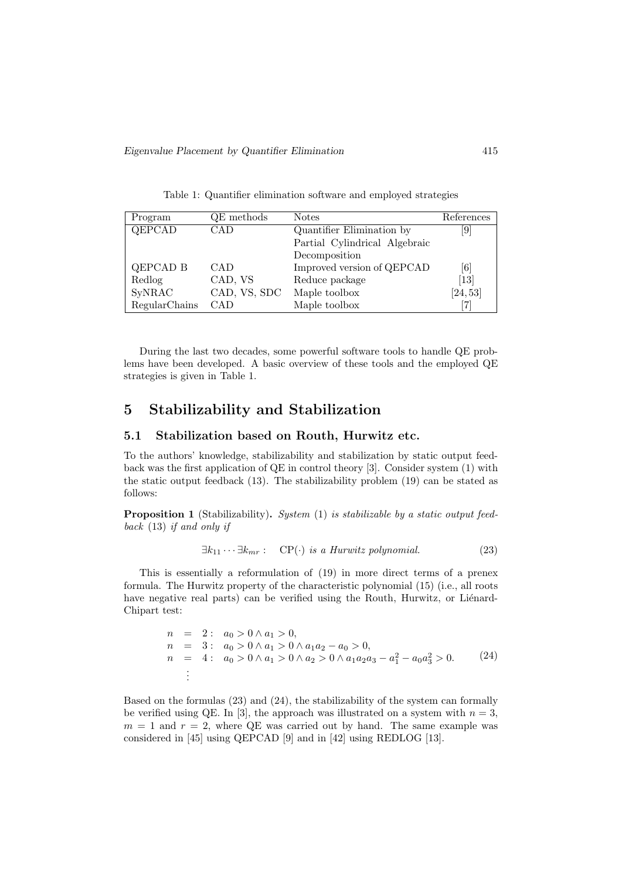Table 1: Quantifier elimination software and employed strategies

| Program         | QE methods   | <b>Notes</b>                  | References                    |
|-----------------|--------------|-------------------------------|-------------------------------|
| QEPCAD          | CAD          | Quantifier Elimination by     | 9                             |
|                 |              | Partial Cylindrical Algebraic |                               |
|                 |              | Decomposition                 |                               |
| <b>QEPCAD B</b> | <b>CAD</b>   | Improved version of QEPCAD    | [6]                           |
| Redlog          | CAD, VS      | Reduce package                | $\left\lceil 13 \right\rceil$ |
| SyNRAC          | CAD, VS, SDC | Maple toolbox                 | [24, 53]                      |
| RegularChains   | <b>CAD</b>   | Maple toolbox                 |                               |

During the last two decades, some powerful software tools to handle QE problems have been developed. A basic overview of these tools and the employed QE strategies is given in Table 1.

### 5 Stabilizability and Stabilization

#### 5.1 Stabilization based on Routh, Hurwitz etc.

To the authors' knowledge, stabilizability and stabilization by static output feedback was the first application of QE in control theory [3]. Consider system (1) with the static output feedback (13). The stabilizability problem (19) can be stated as follows:

Proposition 1 (Stabilizability). System (1) is stabilizable by a static output feedback (13) if and only if

$$
\exists k_{11} \cdots \exists k_{mr} : CP(\cdot) \text{ is a Hurwitz polynomial.}
$$
 (23)

This is essentially a reformulation of (19) in more direct terms of a prenex formula. The Hurwitz property of the characteristic polynomial (15) (i.e., all roots have negative real parts) can be verified using the Routh, Hurwitz, or Liénard-Chipart test:

$$
n = 2: a_0 > 0 \land a_1 > 0,
$$
  
\n
$$
n = 3: a_0 > 0 \land a_1 > 0 \land a_1a_2 - a_0 > 0,
$$
  
\n
$$
n = 4: a_0 > 0 \land a_1 > 0 \land a_2 > 0 \land a_1a_2a_3 - a_1^2 - a_0a_3^2 > 0.
$$
\n(24)\n
$$
\vdots
$$

Based on the formulas (23) and (24), the stabilizability of the system can formally be verified using QE. In [3], the approach was illustrated on a system with  $n = 3$ ,  $m = 1$  and  $r = 2$ , where QE was carried out by hand. The same example was considered in [45] using QEPCAD [9] and in [42] using REDLOG [13].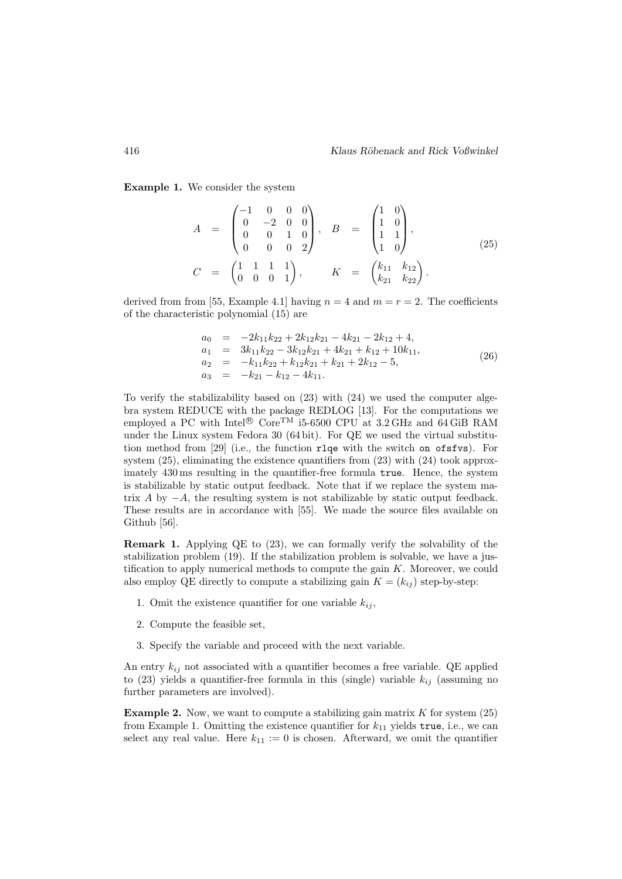Example 1. We consider the system

$$
A = \begin{pmatrix} -1 & 0 & 0 & 0 \\ 0 & -2 & 0 & 0 \\ 0 & 0 & 1 & 0 \\ 0 & 0 & 0 & 2 \end{pmatrix}, B = \begin{pmatrix} 1 & 0 \\ 1 & 0 \\ 1 & 1 \\ 1 & 0 \end{pmatrix},
$$
  
\n
$$
C = \begin{pmatrix} 1 & 1 & 1 & 1 \\ 0 & 0 & 0 & 1 \end{pmatrix}, K = \begin{pmatrix} k_{11} & k_{12} \\ k_{21} & k_{22} \end{pmatrix}.
$$
 (25)

derived from from [55, Example 4.1] having  $n = 4$  and  $m = r = 2$ . The coefficients of the characteristic polynomial (15) are

$$
a_0 = -2k_{11}k_{22} + 2k_{12}k_{21} - 4k_{21} - 2k_{12} + 4,
$$
  
\n
$$
a_1 = 3k_{11}k_{22} - 3k_{12}k_{21} + 4k_{21} + k_{12} + 10k_{11},
$$
  
\n
$$
a_2 = -k_{11}k_{22} + k_{12}k_{21} + k_{21} + 2k_{12} - 5,
$$
  
\n
$$
a_3 = -k_{21} - k_{12} - 4k_{11}.
$$
\n(26)

To verify the stabilizability based on (23) with (24) we used the computer algebra system REDUCE with the package REDLOG [13]. For the computations we employed a PC with Intel®  $\text{Core}^{\text{TM}}$  i5-6500 CPU at 3.2 GHz and 64 GiB RAM under the Linux system Fedora 30 (64 bit). For QE we used the virtual substitution method from [29] (i.e., the function rlqe with the switch on ofsfvs). For system (25), eliminating the existence quantifiers from (23) with (24) took approximately 430 ms resulting in the quantifier-free formula true. Hence, the system is stabilizable by static output feedback. Note that if we replace the system matrix A by  $-A$ , the resulting system is not stabilizable by static output feedback. These results are in accordance with [55]. We made the source files available on Github [56].

Remark 1. Applying QE to (23), we can formally verify the solvability of the stabilization problem  $(19)$ . If the stabilization problem is solvable, we have a justification to apply numerical methods to compute the gain  $K$ . Moreover, we could also employ QE directly to compute a stabilizing gain  $K = (k_{ij})$  step-by-step:

- 1. Omit the existence quantifier for one variable  $k_{ij}$ ,
- 2. Compute the feasible set,
- 3. Specify the variable and proceed with the next variable.

An entry  $k_{ij}$  not associated with a quantifier becomes a free variable. QE applied to (23) yields a quantifier-free formula in this (single) variable  $k_{ij}$  (assuming no further parameters are involved).

**Example 2.** Now, we want to compute a stabilizing gain matrix  $K$  for system (25) from Example 1. Omitting the existence quantifier for  $k_{11}$  yields true, i.e., we can select any real value. Here  $k_{11} := 0$  is chosen. Afterward, we omit the quantifier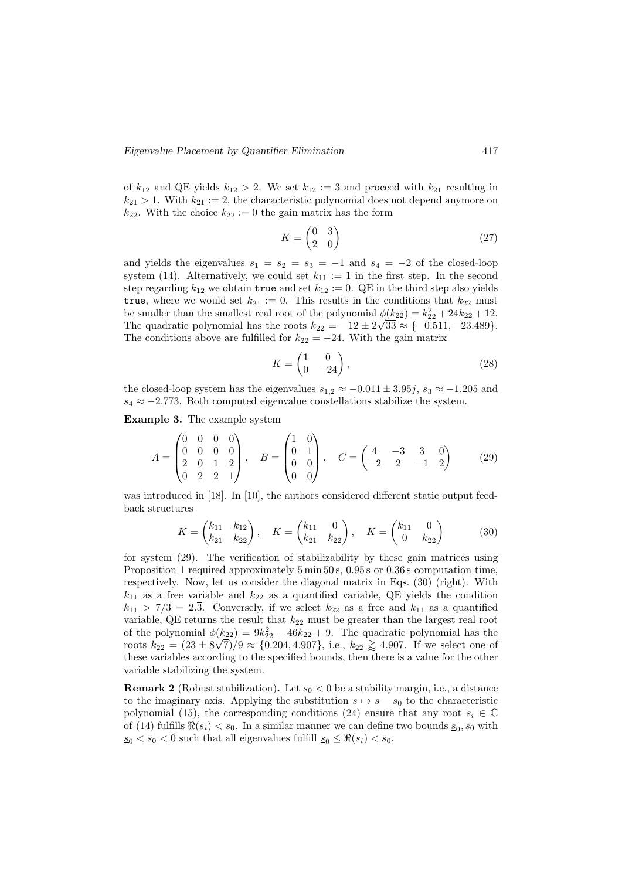of  $k_{12}$  and QE yields  $k_{12} > 2$ . We set  $k_{12} := 3$  and proceed with  $k_{21}$  resulting in  $k_{21} > 1$ . With  $k_{21} := 2$ , the characteristic polynomial does not depend anymore on  $k_{22}$ . With the choice  $k_{22} := 0$  the gain matrix has the form

$$
K = \begin{pmatrix} 0 & 3 \\ 2 & 0 \end{pmatrix} \tag{27}
$$

and yields the eigenvalues  $s_1 = s_2 = s_3 = -1$  and  $s_4 = -2$  of the closed-loop system (14). Alternatively, we could set  $k_{11} := 1$  in the first step. In the second step regarding  $k_{12}$  we obtain true and set  $k_{12} := 0$ . QE in the third step also yields true, where we would set  $k_{21} := 0$ . This results in the conditions that  $k_{22}$  must be smaller than the smallest real root of the polynomial  $\phi(k_{22}) = k_{22}^2 + 24k_{22} + 12$ . The quadratic polynomial has the roots  $k_{22} = -12 \pm 2\sqrt{33} \approx \{-0.511, -23.489\}.$ The conditions above are fulfilled for  $k_{22} = -24$ . With the gain matrix

$$
K = \begin{pmatrix} 1 & 0 \\ 0 & -24 \end{pmatrix},\tag{28}
$$

the closed-loop system has the eigenvalues  $s_{1,2} \approx -0.011 \pm 3.95j$ ,  $s_3 \approx -1.205$  and  $s_4 \approx -2.773$ . Both computed eigenvalue constellations stabilize the system.

Example 3. The example system

$$
A = \begin{pmatrix} 0 & 0 & 0 & 0 \\ 0 & 0 & 0 & 0 \\ 2 & 0 & 1 & 2 \\ 0 & 2 & 2 & 1 \end{pmatrix}, \quad B = \begin{pmatrix} 1 & 0 \\ 0 & 1 \\ 0 & 0 \\ 0 & 0 \end{pmatrix}, \quad C = \begin{pmatrix} 4 & -3 & 3 & 0 \\ -2 & 2 & -1 & 2 \end{pmatrix}
$$
(29)

was introduced in [18]. In [10], the authors considered different static output feedback structures

$$
K = \begin{pmatrix} k_{11} & k_{12} \\ k_{21} & k_{22} \end{pmatrix}, \quad K = \begin{pmatrix} k_{11} & 0 \\ k_{21} & k_{22} \end{pmatrix}, \quad K = \begin{pmatrix} k_{11} & 0 \\ 0 & k_{22} \end{pmatrix}
$$
(30)

for system (29). The verification of stabilizability by these gain matrices using Proposition 1 required approximately 5 min 50 s, 0.95 s or 0.36 s computation time, respectively. Now, let us consider the diagonal matrix in Eqs. (30) (right). With  $k_{11}$  as a free variable and  $k_{22}$  as a quantified variable, QE yields the condition  $k_{11} > 7/3 = 2.\overline{3}$ . Conversely, if we select  $k_{22}$  as a free and  $k_{11}$  as a quantified variable, QE returns the result that  $k_{22}$  must be greater than the largest real root of the polynomial  $\phi(k_{22}) = 9k_{22}^2 - 46k_{22} + 9$ . The quadratic polynomial has the roots  $k_{22} = (23 \pm 8\sqrt{7})/9 \approx \{0.204, 4.907\}$ , i.e.,  $k_{22} \gtrapprox 4.907$ . If we select one of these variables according to the specified bounds, then there is a value for the other variable stabilizing the system.

**Remark 2** (Robust stabilization). Let  $s_0 < 0$  be a stability margin, i.e., a distance to the imaginary axis. Applying the substitution  $s \mapsto s - s_0$  to the characteristic polynomial (15), the corresponding conditions (24) ensure that any root  $s_i \in \mathbb{C}$ of (14) fulfills  $\Re(s_i) < s_0$ . In a similar manner we can define two bounds  $\underline{s}_0, \overline{s}_0$  with  $s_0 < \bar{s}_0 < 0$  such that all eigenvalues fulfill  $s_0 \leq \Re(s_i) < \bar{s}_0$ .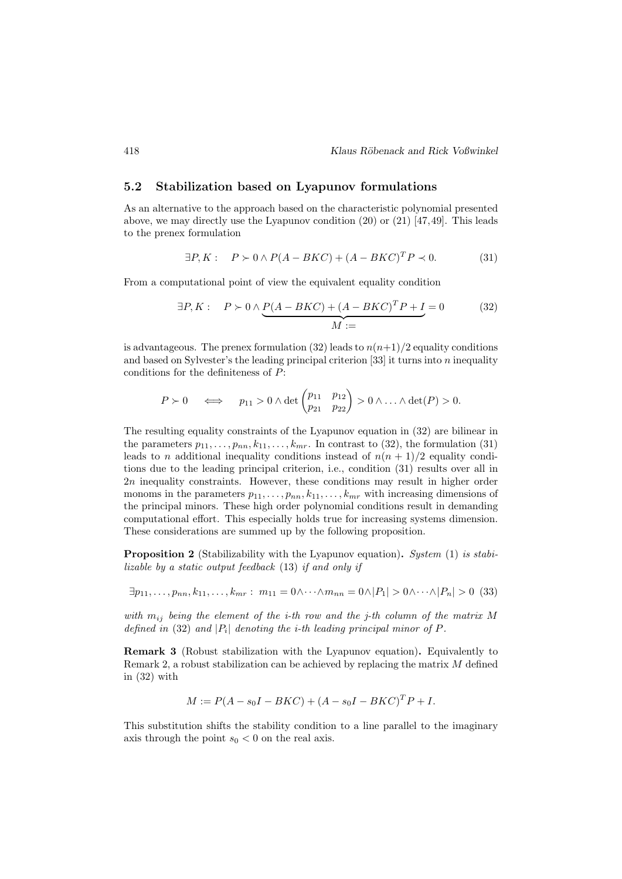#### 5.2 Stabilization based on Lyapunov formulations

As an alternative to the approach based on the characteristic polynomial presented above, we may directly use the Lyapunov condition (20) or (21) [47,49]. This leads to the prenex formulation

$$
\exists P, K: \quad P \succ 0 \land P(A - BKC) + (A - BKC)^T P \prec 0. \tag{31}
$$

From a computational point of view the equivalent equality condition

$$
\exists P, K: \quad P \succ 0 \land \underbrace{P(A - BKC) + (A - BKC)^T P + I}_{M :=} = 0 \tag{32}
$$

is advantageous. The prenex formulation (32) leads to  $n(n+1)/2$  equality conditions and based on Sylvester's the leading principal criterion  $[33]$  it turns into n inequality conditions for the definiteness of P:

$$
P \succ 0 \iff p_{11} > 0 \land \det\begin{pmatrix} p_{11} & p_{12} \\ p_{21} & p_{22} \end{pmatrix} > 0 \land \dots \land \det(P) > 0.
$$

The resulting equality constraints of the Lyapunov equation in (32) are bilinear in the parameters  $p_{11}, \ldots, p_{nn}, k_{11}, \ldots, k_{mr}$ . In contrast to (32), the formulation (31) leads to n additional inequality conditions instead of  $n(n + 1)/2$  equality conditions due to the leading principal criterion, i.e., condition (31) results over all in 2n inequality constraints. However, these conditions may result in higher order monoms in the parameters  $p_{11}, \ldots, p_{nn}, k_{11}, \ldots, k_{mr}$  with increasing dimensions of the principal minors. These high order polynomial conditions result in demanding computational effort. This especially holds true for increasing systems dimension. These considerations are summed up by the following proposition.

Proposition 2 (Stabilizability with the Lyapunov equation). System (1) is stabilizable by a static output feedback (13) if and only if

 $\exists p_{11}, \ldots, p_{nn}, k_{11}, \ldots, k_{mr} : m_{11} = 0 \wedge \cdots \wedge m_{nn} = 0 \wedge |P_1| > 0 \wedge \cdots \wedge |P_n| > 0$  (33)

with  $m_{ij}$  being the element of the *i*-th row and the *j*-th column of the matrix M defined in (32) and  $|P_i|$  denoting the *i*-th leading principal minor of P.

Remark 3 (Robust stabilization with the Lyapunov equation). Equivalently to Remark 2, a robust stabilization can be achieved by replacing the matrix M defined in (32) with

$$
M := P(A - s_0I - BKC) + (A - s_0I - BKC)^T P + I.
$$

This substitution shifts the stability condition to a line parallel to the imaginary axis through the point  $s_0 < 0$  on the real axis.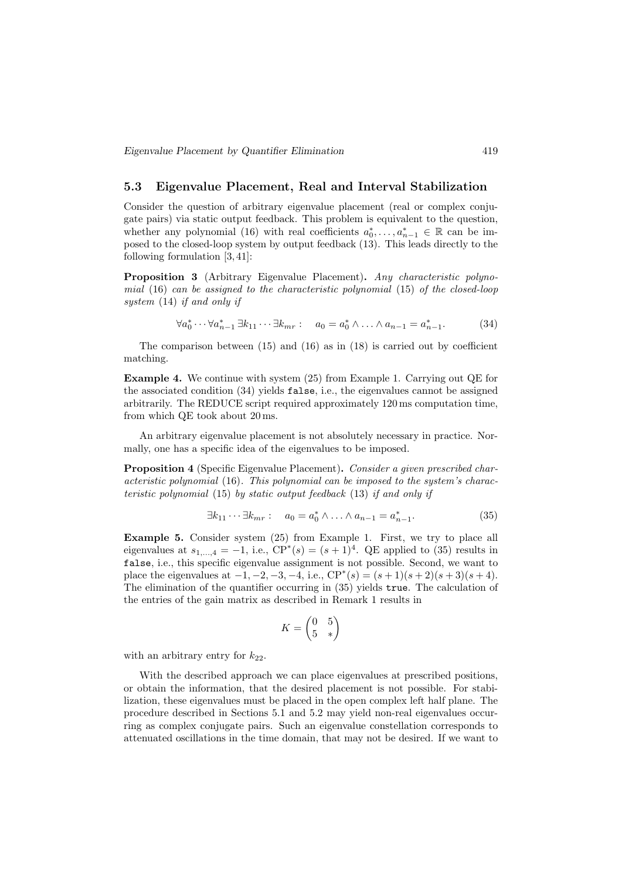### 5.3 Eigenvalue Placement, Real and Interval Stabilization

Consider the question of arbitrary eigenvalue placement (real or complex conjugate pairs) via static output feedback. This problem is equivalent to the question, whether any polynomial (16) with real coefficients  $a_0^*, \ldots, a_{n-1}^* \in \mathbb{R}$  can be imposed to the closed-loop system by output feedback (13). This leads directly to the following formulation [3, 41]:

Proposition 3 (Arbitrary Eigenvalue Placement). Any characteristic polynomial  $(16)$  can be assigned to the characteristic polynomial  $(15)$  of the closed-loop system (14) if and only if

$$
\forall a_0^* \cdots \forall a_{n-1}^* \ \exists k_{11} \cdots \exists k_{mr} : a_0 = a_0^* \land \ldots \land a_{n-1} = a_{n-1}^*.
$$
 (34)

The comparison between  $(15)$  and  $(16)$  as in  $(18)$  is carried out by coefficient matching.

Example 4. We continue with system (25) from Example 1. Carrying out QE for the associated condition (34) yields false, i.e., the eigenvalues cannot be assigned arbitrarily. The REDUCE script required approximately 120 ms computation time, from which QE took about 20 ms.

An arbitrary eigenvalue placement is not absolutely necessary in practice. Normally, one has a specific idea of the eigenvalues to be imposed.

Proposition 4 (Specific Eigenvalue Placement). Consider a given prescribed characteristic polynomial (16). This polynomial can be imposed to the system's characteristic polynomial (15) by static output feedback (13) if and only if

$$
\exists k_{11} \cdots \exists k_{mr} : a_0 = a_0^* \wedge \ldots \wedge a_{n-1} = a_{n-1}^*.
$$
 (35)

Example 5. Consider system (25) from Example 1. First, we try to place all eigenvalues at  $s_{1,\dots,4} = -1$ , i.e.,  $CP^*(s) = (s+1)^4$ . QE applied to (35) results in false, i.e., this specific eigenvalue assignment is not possible. Second, we want to place the eigenvalues at  $-1, -2, -3, -4$ , i.e.,  $CP^*(s) = (s+1)(s+2)(s+3)(s+4)$ . The elimination of the quantifier occurring in (35) yields true. The calculation of the entries of the gain matrix as described in Remark 1 results in

$$
K = \begin{pmatrix} 0 & 5 \\ 5 & * \end{pmatrix}
$$

with an arbitrary entry for  $k_{22}$ .

With the described approach we can place eigenvalues at prescribed positions, or obtain the information, that the desired placement is not possible. For stabilization, these eigenvalues must be placed in the open complex left half plane. The procedure described in Sections 5.1 and 5.2 may yield non-real eigenvalues occurring as complex conjugate pairs. Such an eigenvalue constellation corresponds to attenuated oscillations in the time domain, that may not be desired. If we want to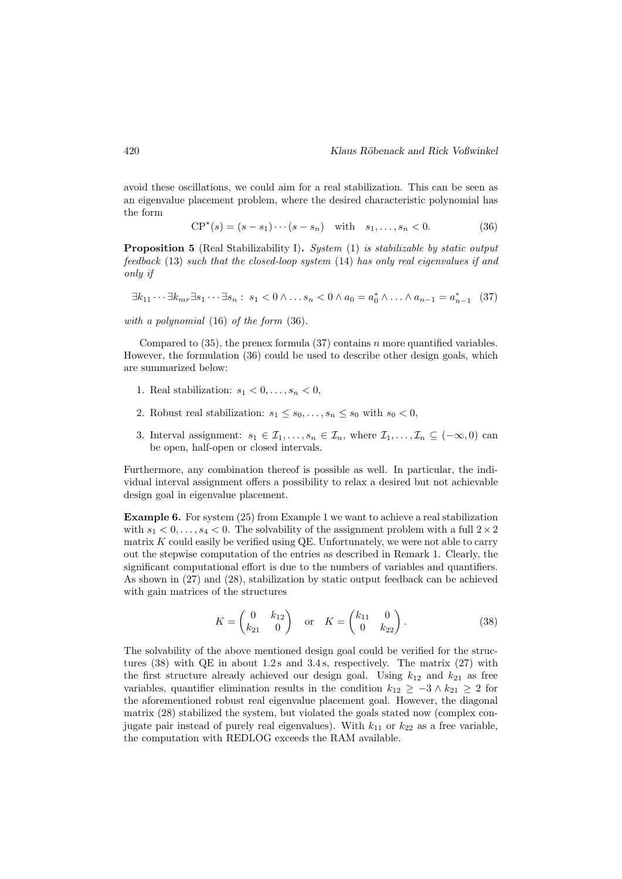avoid these oscillations, we could aim for a real stabilization. This can be seen as an eigenvalue placement problem, where the desired characteristic polynomial has the form

$$
CP^*(s) = (s - s_1) \cdots (s - s_n) \quad \text{with} \quad s_1, \ldots, s_n < 0. \tag{36}
$$

**Proposition 5** (Real Stabilizability I). System (1) is stabilizable by static output feedback (13) such that the closed-loop system (14) has only real eigenvalues if and only if

$$
\exists k_{11} \cdots \exists k_{mr} \exists s_1 \cdots \exists s_n : s_1 < 0 \land \ldots s_n < 0 \land a_0 = a_0^* \land \ldots \land a_{n-1} = a_{n-1}^* \quad (37)
$$

with a polynomial (16) of the form (36).

Compared to  $(35)$ , the prenex formula  $(37)$  contains n more quantified variables. However, the formulation (36) could be used to describe other design goals, which are summarized below:

- 1. Real stabilization:  $s_1 < 0, \ldots, s_n < 0$ ,
- 2. Robust real stabilization:  $s_1 \leq s_0, \ldots, s_n \leq s_0$  with  $s_0 < 0$ ,
- 3. Interval assignment:  $s_1 \in \mathcal{I}_1, \ldots, s_n \in \mathcal{I}_n$ , where  $\mathcal{I}_1, \ldots, \mathcal{I}_n \subseteq (-\infty, 0)$  can be open, half-open or closed intervals.

Furthermore, any combination thereof is possible as well. In particular, the individual interval assignment offers a possibility to relax a desired but not achievable design goal in eigenvalue placement.

Example 6. For system (25) from Example 1 we want to achieve a real stabilization with  $s_1 < 0, \ldots, s_4 < 0$ . The solvability of the assignment problem with a full  $2 \times 2$ matrix  $K$  could easily be verified using  $QE$ . Unfortunately, we were not able to carry out the stepwise computation of the entries as described in Remark 1. Clearly, the significant computational effort is due to the numbers of variables and quantifiers. As shown in (27) and (28), stabilization by static output feedback can be achieved with gain matrices of the structures

$$
K = \begin{pmatrix} 0 & k_{12} \\ k_{21} & 0 \end{pmatrix} \text{ or } K = \begin{pmatrix} k_{11} & 0 \\ 0 & k_{22} \end{pmatrix}.
$$
 (38)

The solvability of the above mentioned design goal could be verified for the structures  $(38)$  with QE in about 1.2s and 3.4s, respectively. The matrix  $(27)$  with the first structure already achieved our design goal. Using  $k_{12}$  and  $k_{21}$  as free variables, quantifier elimination results in the condition  $k_{12} \geq -3 \wedge k_{21} \geq 2$  for the aforementioned robust real eigenvalue placement goal. However, the diagonal matrix (28) stabilized the system, but violated the goals stated now (complex conjugate pair instead of purely real eigenvalues). With  $k_{11}$  or  $k_{22}$  as a free variable, the computation with REDLOG exceeds the RAM available.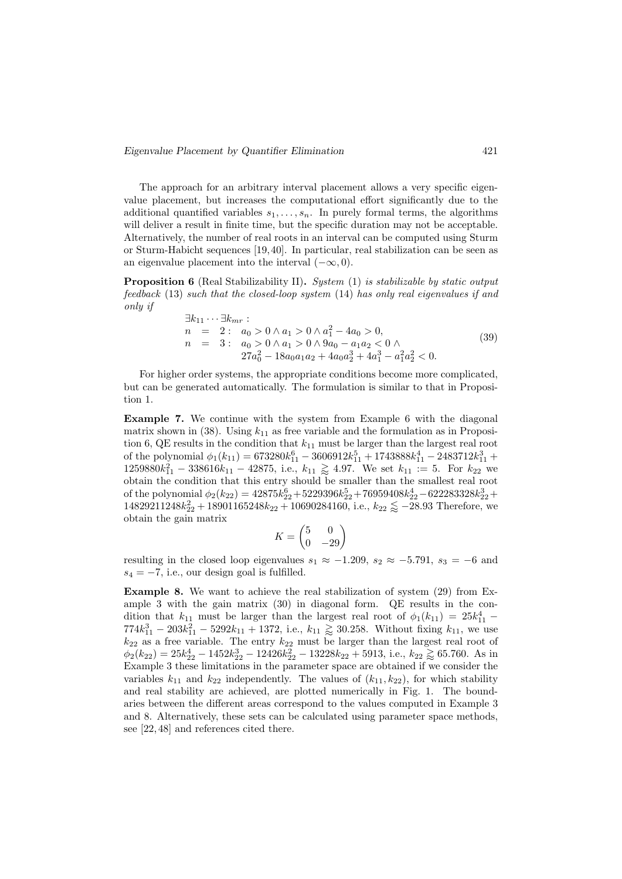#### Eigenvalue Placement by Quantifier Elimination 421

The approach for an arbitrary interval placement allows a very specific eigenvalue placement, but increases the computational effort significantly due to the additional quantified variables  $s_1, \ldots, s_n$ . In purely formal terms, the algorithms will deliver a result in finite time, but the specific duration may not be acceptable. Alternatively, the number of real roots in an interval can be computed using Sturm or Sturm-Habicht sequences [19, 40]. In particular, real stabilization can be seen as an eigenvalue placement into the interval  $(-\infty, 0)$ .

Proposition 6 (Real Stabilizability II). System (1) is stabilizable by static output feedback (13) such that the closed-loop system (14) has only real eigenvalues if and only if

$$
\begin{aligned}\n\exists k_{11} \cdots \exists k_{mr} : \\
n &= 2: \quad a_0 > 0 \land a_1 > 0 \land a_1^2 - 4a_0 > 0, \\
n &= 3: \quad a_0 > 0 \land a_1 > 0 \land 9a_0 - a_1a_2 < 0 \land \\
&27a_0^2 - 18a_0a_1a_2 + 4a_0a_2^3 + 4a_1^3 - a_1^2a_2^2 < 0.\n\end{aligned} \tag{39}
$$

For higher order systems, the appropriate conditions become more complicated, but can be generated automatically. The formulation is similar to that in Proposition 1.

Example 7. We continue with the system from Example 6 with the diagonal matrix shown in (38). Using  $k_{11}$  as free variable and the formulation as in Proposition 6, QE results in the condition that  $k_{11}$  must be larger than the largest real root of the polynomial  $\phi_1(k_{11}) = 673280k_{11}^6 - 3606912k_{11}^5 + 1743888k_{11}^4 - 2483712k_{11}^3 +$  $1259880k_{11}^2 - 338616k_{11} - 42875$ , i.e.,  $k_{11} \geq 4.97$ . We set  $k_{11} := 5$ . For  $k_{22}$  we obtain the condition that this entry should be smaller than the smallest real root of the polynomial  $\phi_2(k_{22}) = 42875k_{22}^6 + 5229396k_{22}^5 + 76959408k_{22}^4 - 622283328k_{22}^3 +$  $14829211248k_{22}^2 + 18901165248k_{22} + 10690284160$ , i.e.,  $k_{22} \leq -28.93$  Therefore, we obtain the gain matrix

$$
K = \begin{pmatrix} 5 & 0 \\ 0 & -29 \end{pmatrix}
$$

resulting in the closed loop eigenvalues  $s_1 \approx -1.209$ ,  $s_2 \approx -5.791$ ,  $s_3 = -6$  and  $s_4 = -7$ , i.e., our design goal is fulfilled.

Example 8. We want to achieve the real stabilization of system (29) from Example 3 with the gain matrix (30) in diagonal form. QE results in the condition that  $k_{11}$  must be larger than the largest real root of  $\phi_1(k_{11}) = 25k_{11}^4$  - $774k_{11}^3 - 203k_{11}^2 - 5292k_{11} + 1372$ , i.e.,  $k_{11} \geq 30.258$ . Without fixing  $k_{11}$ , we use  $k_{22}$  as a free variable. The entry  $k_{22}$  must be larger than the largest real root of  $\phi_2(k_{22}) = 25k_{22}^4 - 1452k_{22}^3 - 12426k_{22}^2 - 13228k_{22} + 5913$ , i.e.,  $k_{22} \gtrapprox 65.760$ . As in Example 3 these limitations in the parameter space are obtained if we consider the variables  $k_{11}$  and  $k_{22}$  independently. The values of  $(k_{11}, k_{22})$ , for which stability and real stability are achieved, are plotted numerically in Fig. 1. The boundaries between the different areas correspond to the values computed in Example 3 and 8. Alternatively, these sets can be calculated using parameter space methods, see [22, 48] and references cited there.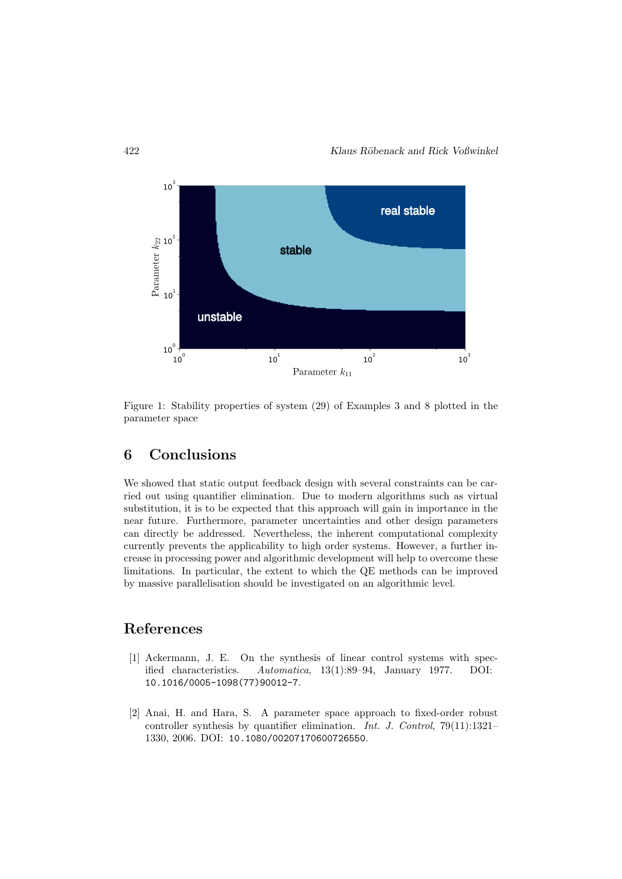

Figure 1: Stability properties of system (29) of Examples 3 and 8 plotted in the parameter space

## 6 Conclusions

We showed that static output feedback design with several constraints can be carried out using quantifier elimination. Due to modern algorithms such as virtual substitution, it is to be expected that this approach will gain in importance in the near future. Furthermore, parameter uncertainties and other design parameters can directly be addressed. Nevertheless, the inherent computational complexity currently prevents the applicability to high order systems. However, a further increase in processing power and algorithmic development will help to overcome these limitations. In particular, the extent to which the QE methods can be improved by massive parallelisation should be investigated on an algorithmic level.

### References

- [1] Ackermann, J. E. On the synthesis of linear control systems with specified characteristics. Automatica, 13(1):89–94, January 1977. DOI: 10.1016/0005-1098(77)90012-7.
- [2] Anai, H. and Hara, S. A parameter space approach to fixed-order robust controller synthesis by quantifier elimination. Int. J. Control, 79(11):1321– 1330, 2006. DOI: 10.1080/00207170600726550.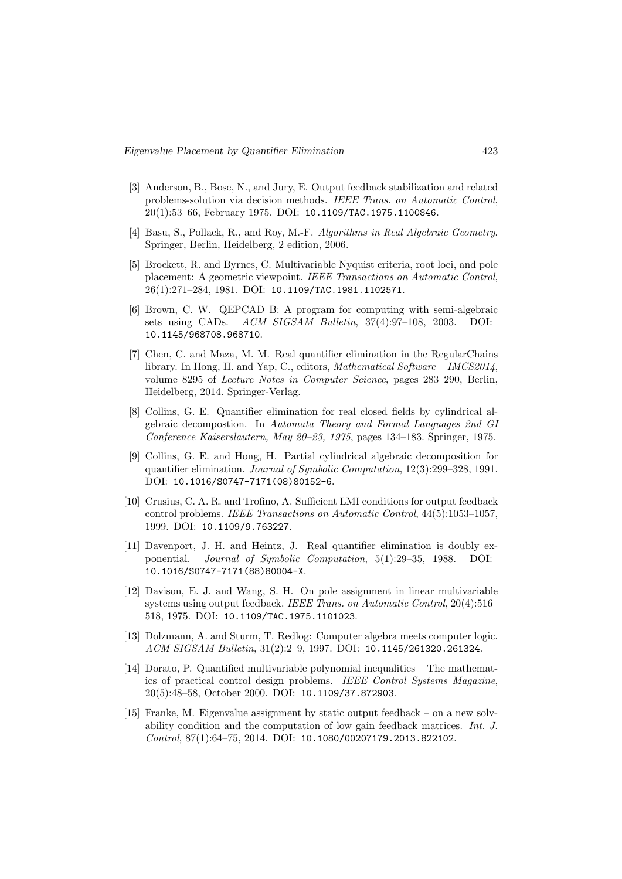- [3] Anderson, B., Bose, N., and Jury, E. Output feedback stabilization and related problems-solution via decision methods. IEEE Trans. on Automatic Control, 20(1):53–66, February 1975. DOI: 10.1109/TAC.1975.1100846.
- [4] Basu, S., Pollack, R., and Roy, M.-F. Algorithms in Real Algebraic Geometry. Springer, Berlin, Heidelberg, 2 edition, 2006.
- [5] Brockett, R. and Byrnes, C. Multivariable Nyquist criteria, root loci, and pole placement: A geometric viewpoint. IEEE Transactions on Automatic Control, 26(1):271–284, 1981. DOI: 10.1109/TAC.1981.1102571.
- [6] Brown, C. W. QEPCAD B: A program for computing with semi-algebraic sets using CADs. ACM SIGSAM Bulletin, 37(4):97–108, 2003. DOI: 10.1145/968708.968710.
- [7] Chen, C. and Maza, M. M. Real quantifier elimination in the RegularChains library. In Hong, H. and Yap, C., editors, *Mathematical Software – IMCS2014*, volume 8295 of Lecture Notes in Computer Science, pages 283–290, Berlin, Heidelberg, 2014. Springer-Verlag.
- [8] Collins, G. E. Quantifier elimination for real closed fields by cylindrical algebraic decompostion. In Automata Theory and Formal Languages 2nd GI Conference Kaiserslautern, May 20–23, 1975, pages 134–183. Springer, 1975.
- [9] Collins, G. E. and Hong, H. Partial cylindrical algebraic decomposition for quantifier elimination. Journal of Symbolic Computation, 12(3):299–328, 1991. DOI: 10.1016/S0747-7171(08)80152-6.
- [10] Crusius, C. A. R. and Trofino, A. Sufficient LMI conditions for output feedback control problems. IEEE Transactions on Automatic Control, 44(5):1053–1057, 1999. DOI: 10.1109/9.763227.
- [11] Davenport, J. H. and Heintz, J. Real quantifier elimination is doubly exponential. Journal of Symbolic Computation, 5(1):29–35, 1988. DOI: 10.1016/S0747-7171(88)80004-X.
- [12] Davison, E. J. and Wang, S. H. On pole assignment in linear multivariable systems using output feedback. IEEE Trans. on Automatic Control, 20(4):516– 518, 1975. DOI: 10.1109/TAC.1975.1101023.
- [13] Dolzmann, A. and Sturm, T. Redlog: Computer algebra meets computer logic. ACM SIGSAM Bulletin, 31(2):2–9, 1997. DOI: 10.1145/261320.261324.
- [14] Dorato, P. Quantified multivariable polynomial inequalities The mathematics of practical control design problems. IEEE Control Systems Magazine, 20(5):48–58, October 2000. DOI: 10.1109/37.872903.
- [15] Franke, M. Eigenvalue assignment by static output feedback on a new solvability condition and the computation of low gain feedback matrices. Int. J. Control, 87(1):64–75, 2014. DOI: 10.1080/00207179.2013.822102.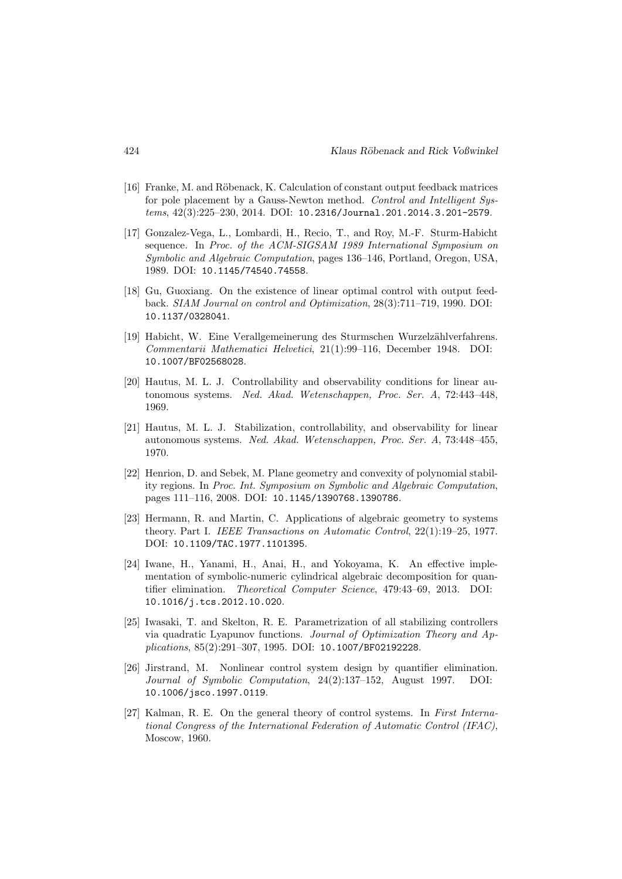- [16] Franke, M. and Röbenack, K. Calculation of constant output feedback matrices for pole placement by a Gauss-Newton method. Control and Intelligent Systems, 42(3):225–230, 2014. DOI: 10.2316/Journal.201.2014.3.201-2579.
- [17] Gonzalez-Vega, L., Lombardi, H., Recio, T., and Roy, M.-F. Sturm-Habicht sequence. In Proc. of the ACM-SIGSAM 1989 International Symposium on Symbolic and Algebraic Computation, pages 136–146, Portland, Oregon, USA, 1989. DOI: 10.1145/74540.74558.
- [18] Gu, Guoxiang. On the existence of linear optimal control with output feedback. SIAM Journal on control and Optimization, 28(3):711–719, 1990. DOI: 10.1137/0328041.
- [19] Habicht, W. Eine Verallgemeinerung des Sturmschen Wurzelzählverfahrens. Commentarii Mathematici Helvetici, 21(1):99–116, December 1948. DOI: 10.1007/BF02568028.
- [20] Hautus, M. L. J. Controllability and observability conditions for linear autonomous systems. Ned. Akad. Wetenschappen, Proc. Ser. A, 72:443–448, 1969.
- [21] Hautus, M. L. J. Stabilization, controllability, and observability for linear autonomous systems. Ned. Akad. Wetenschappen, Proc. Ser. A, 73:448–455, 1970.
- [22] Henrion, D. and Sebek, M. Plane geometry and convexity of polynomial stability regions. In Proc. Int. Symposium on Symbolic and Algebraic Computation, pages 111–116, 2008. DOI: 10.1145/1390768.1390786.
- [23] Hermann, R. and Martin, C. Applications of algebraic geometry to systems theory. Part I. IEEE Transactions on Automatic Control, 22(1):19–25, 1977. DOI: 10.1109/TAC.1977.1101395.
- [24] Iwane, H., Yanami, H., Anai, H., and Yokoyama, K. An effective implementation of symbolic-numeric cylindrical algebraic decomposition for quantifier elimination. Theoretical Computer Science, 479:43–69, 2013. DOI: 10.1016/j.tcs.2012.10.020.
- [25] Iwasaki, T. and Skelton, R. E. Parametrization of all stabilizing controllers via quadratic Lyapunov functions. Journal of Optimization Theory and Applications, 85(2):291–307, 1995. DOI: 10.1007/BF02192228.
- [26] Jirstrand, M. Nonlinear control system design by quantifier elimination. Journal of Symbolic Computation, 24(2):137–152, August 1997. DOI: 10.1006/jsco.1997.0119.
- [27] Kalman, R. E. On the general theory of control systems. In First International Congress of the International Federation of Automatic Control (IFAC), Moscow, 1960.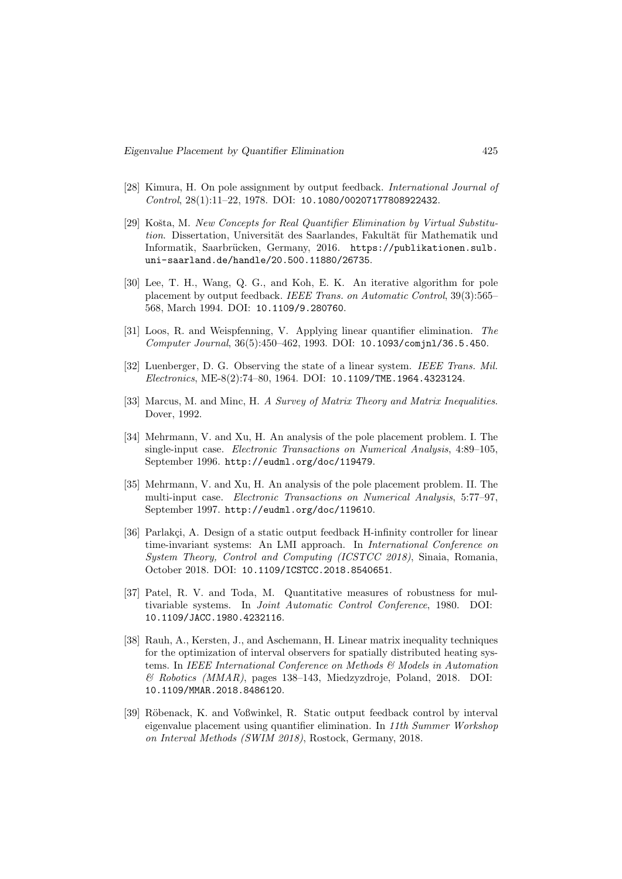- [28] Kimura, H. On pole assignment by output feedback. International Journal of Control, 28(1):11–22, 1978. DOI: 10.1080/00207177808922432.
- [29] Košta, M. New Concepts for Real Quantifier Elimination by Virtual Substitution. Dissertation, Universität des Saarlandes, Fakultät für Mathematik und Informatik, Saarbrücken, Germany, 2016. https://publikationen.sulb. uni-saarland.de/handle/20.500.11880/26735.
- [30] Lee, T. H., Wang, Q. G., and Koh, E. K. An iterative algorithm for pole placement by output feedback. IEEE Trans. on Automatic Control, 39(3):565– 568, March 1994. DOI: 10.1109/9.280760.
- [31] Loos, R. and Weispfenning, V. Applying linear quantifier elimination. The Computer Journal, 36(5):450–462, 1993. DOI: 10.1093/comjnl/36.5.450.
- [32] Luenberger, D. G. Observing the state of a linear system. IEEE Trans. Mil. Electronics, ME-8(2):74–80, 1964. DOI: 10.1109/TME.1964.4323124.
- [33] Marcus, M. and Minc, H. A Survey of Matrix Theory and Matrix Inequalities. Dover, 1992.
- [34] Mehrmann, V. and Xu, H. An analysis of the pole placement problem. I. The single-input case. Electronic Transactions on Numerical Analysis, 4:89–105, September 1996. http://eudml.org/doc/119479.
- [35] Mehrmann, V. and Xu, H. An analysis of the pole placement problem. II. The multi-input case. Electronic Transactions on Numerical Analysis, 5:77–97, September 1997. http://eudml.org/doc/119610.
- [36] Parlakci, A. Design of a static output feedback H-infinity controller for linear time-invariant systems: An LMI approach. In International Conference on System Theory, Control and Computing (ICSTCC 2018), Sinaia, Romania, October 2018. DOI: 10.1109/ICSTCC.2018.8540651.
- [37] Patel, R. V. and Toda, M. Quantitative measures of robustness for multivariable systems. In Joint Automatic Control Conference, 1980. DOI: 10.1109/JACC.1980.4232116.
- [38] Rauh, A., Kersten, J., and Aschemann, H. Linear matrix inequality techniques for the optimization of interval observers for spatially distributed heating systems. In IEEE International Conference on Methods & Models in Automation & Robotics (MMAR), pages 138–143, Miedzyzdroje, Poland, 2018. DOI: 10.1109/MMAR.2018.8486120.
- [39] Röbenack, K. and Voßwinkel, R. Static output feedback control by interval eigenvalue placement using quantifier elimination. In 11th Summer Workshop on Interval Methods (SWIM 2018), Rostock, Germany, 2018.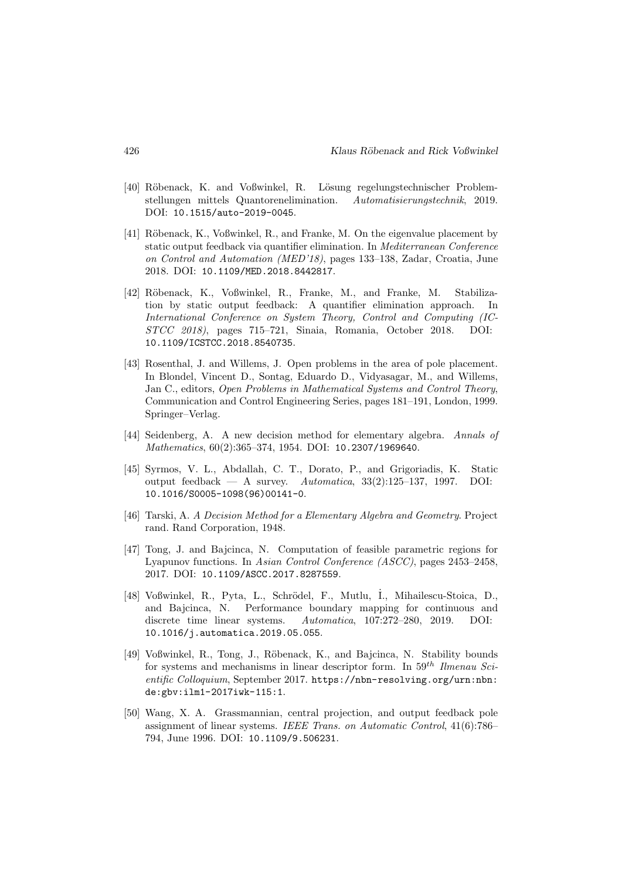- [40] Röbenack, K. and Voßwinkel, R. Lösung regelungstechnischer Problemstellungen mittels Quantorenelimination. Automatisierungstechnik, 2019. DOI: 10.1515/auto-2019-0045.
- [41] Röbenack, K., Voßwinkel, R., and Franke, M. On the eigenvalue placement by static output feedback via quantifier elimination. In Mediterranean Conference on Control and Automation (MED'18), pages 133–138, Zadar, Croatia, June 2018. DOI: 10.1109/MED.2018.8442817.
- [42] R¨obenack, K., Voßwinkel, R., Franke, M., and Franke, M. Stabilization by static output feedback: A quantifier elimination approach. In International Conference on System Theory, Control and Computing (IC-STCC 2018), pages 715–721, Sinaia, Romania, October 2018. DOI: 10.1109/ICSTCC.2018.8540735.
- [43] Rosenthal, J. and Willems, J. Open problems in the area of pole placement. In Blondel, Vincent D., Sontag, Eduardo D., Vidyasagar, M., and Willems, Jan C., editors, Open Problems in Mathematical Systems and Control Theory, Communication and Control Engineering Series, pages 181–191, London, 1999. Springer–Verlag.
- [44] Seidenberg, A. A new decision method for elementary algebra. Annals of Mathematics, 60(2):365–374, 1954. DOI: 10.2307/1969640.
- [45] Syrmos, V. L., Abdallah, C. T., Dorato, P., and Grigoriadis, K. Static output feedback — A survey. Automatica,  $33(2):125-137$ , 1997. DOI: 10.1016/S0005-1098(96)00141-0.
- [46] Tarski, A. A Decision Method for a Elementary Algebra and Geometry. Project rand. Rand Corporation, 1948.
- [47] Tong, J. and Bajcinca, N. Computation of feasible parametric regions for Lyapunov functions. In Asian Control Conference (ASCC), pages 2453–2458, 2017. DOI: 10.1109/ASCC.2017.8287559.
- [48] Voßwinkel, R., Pyta, L., Schrödel, F., Mutlu, I., Mihailescu-Stoica, D., and Bajcinca, N. Performance boundary mapping for continuous and discrete time linear systems. Automatica, 107:272–280, 2019. DOI: 10.1016/j.automatica.2019.05.055.
- [49] Voßwinkel, R., Tong, J., Röbenack, K., and Bajcinca, N. Stability bounds for systems and mechanisms in linear descriptor form. In  $59^{th}$  Ilmenau Scientific Colloquium, September 2017. https://nbn-resolving.org/urn:nbn: de:gbv:ilm1-2017iwk-115:1.
- [50] Wang, X. A. Grassmannian, central projection, and output feedback pole assignment of linear systems. IEEE Trans. on Automatic Control, 41(6):786– 794, June 1996. DOI: 10.1109/9.506231.